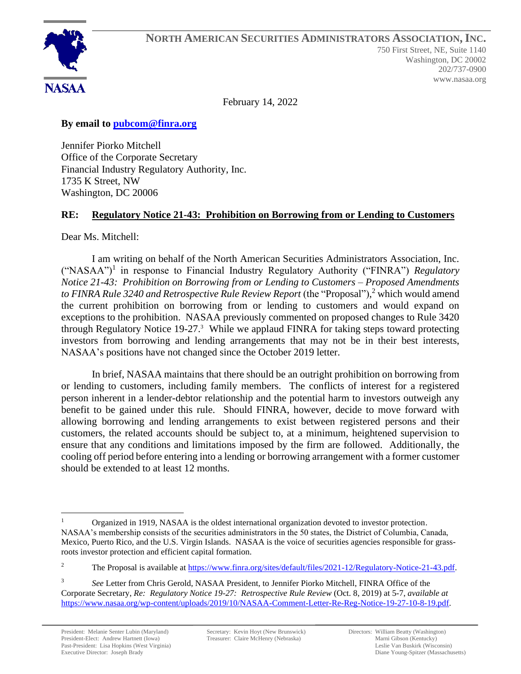

February 14, 2022

**By email to [pubcom@finra.org](mailto:rule-comments@sec.gov)**

Jennifer Piorko Mitchell Office of the Corporate Secretary Financial Industry Regulatory Authority, Inc. 1735 K Street, NW Washington, DC 20006

## **RE: Regulatory Notice 21-43: Prohibition on Borrowing from or Lending to Customers**

Dear Ms. Mitchell:

I am writing on behalf of the North American Securities Administrators Association, Inc. ("NASAA")<sup>1</sup> in response to Financial Industry Regulatory Authority ("FINRA") *Regulatory Notice 21-43: Prohibition on Borrowing from or Lending to Customers – Proposed Amendments to FINRA Rule 3240 and Retrospective Rule Review Report* (the "Proposal"), <sup>2</sup> which would amend the current prohibition on borrowing from or lending to customers and would expand on exceptions to the prohibition. NASAA previously commented on proposed changes to Rule 3420 through Regulatory Notice 19-27.<sup>3</sup> While we applaud FINRA for taking steps toward protecting investors from borrowing and lending arrangements that may not be in their best interests, NASAA's positions have not changed since the October 2019 letter.

In brief, NASAA maintains that there should be an outright prohibition on borrowing from or lending to customers, including family members. The conflicts of interest for a registered person inherent in a lender-debtor relationship and the potential harm to investors outweigh any benefit to be gained under this rule. Should FINRA, however, decide to move forward with allowing borrowing and lending arrangements to exist between registered persons and their customers, the related accounts should be subject to, at a minimum, heightened supervision to ensure that any conditions and limitations imposed by the firm are followed. Additionally, the cooling off period before entering into a lending or borrowing arrangement with a former customer should be extended to at least 12 months.

Organized in 1919, NASAA is the oldest international organization devoted to investor protection. NASAA's membership consists of the securities administrators in the 50 states, the District of Columbia, Canada, Mexico, Puerto Rico, and the U.S. Virgin Islands. NASAA is the voice of securities agencies responsible for grassroots investor protection and efficient capital formation.

<sup>&</sup>lt;sup>2</sup> The Proposal is available at [https://www.finra.org/sites/default/files/2021-12/Regulatory-Notice-21-43.pdf.](https://www.finra.org/sites/default/files/2021-12/Regulatory-Notice-21-43.pdf)

<sup>3</sup> *See* Letter from Chris Gerold, NASAA President, to Jennifer Piorko Mitchell, FINRA Office of the Corporate Secretary, *Re: Regulatory Notice 19-27: Retrospective Rule Review* (Oct. 8, 2019) at 5-7, *available at* [https://www.nasaa.org/wp-content/uploads/2019/10/NASAA-Comment-Letter-Re-Reg-Notice-19-27-10-8-19.pdf.](https://www.nasaa.org/wp-content/uploads/2019/10/NASAA-Comment-Letter-Re-Reg-Notice-19-27-10-8-19.pdf)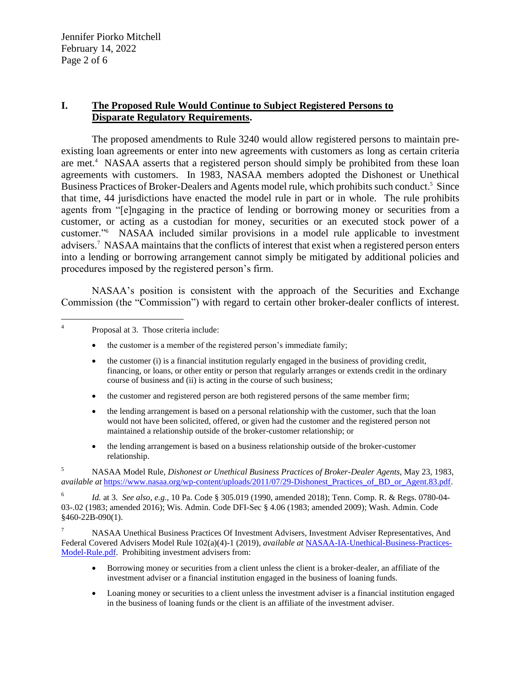Jennifer Piorko Mitchell February 14, 2022 Page 2 of 6

## **I. The Proposed Rule Would Continue to Subject Registered Persons to Disparate Regulatory Requirements.**

The proposed amendments to Rule 3240 would allow registered persons to maintain preexisting loan agreements or enter into new agreements with customers as long as certain criteria are met.<sup>4</sup> NASAA asserts that a registered person should simply be prohibited from these loan agreements with customers. In 1983, NASAA members adopted the Dishonest or Unethical Business Practices of Broker-Dealers and Agents model rule, which prohibits such conduct.<sup>5</sup> Since that time, 44 jurisdictions have enacted the model rule in part or in whole. The rule prohibits agents from "[e]ngaging in the practice of lending or borrowing money or securities from a customer, or acting as a custodian for money, securities or an executed stock power of a customer."<sup>6</sup> NASAA included similar provisions in a model rule applicable to investment advisers. <sup>7</sup> NASAA maintains that the conflicts of interest that exist when a registered person enters into a lending or borrowing arrangement cannot simply be mitigated by additional policies and procedures imposed by the registered person's firm.

NASAA's position is consistent with the approach of the Securities and Exchange Commission (the "Commission") with regard to certain other broker-dealer conflicts of interest.

- the customer (i) is a financial institution regularly engaged in the business of providing credit, financing, or loans, or other entity or person that regularly arranges or extends credit in the ordinary course of business and (ii) is acting in the course of such business;
- the customer and registered person are both registered persons of the same member firm;
- the lending arrangement is based on a personal relationship with the customer, such that the loan would not have been solicited, offered, or given had the customer and the registered person not maintained a relationship outside of the broker-customer relationship; or
- the lending arrangement is based on a business relationship outside of the broker-customer relationship.

<sup>5</sup> NASAA Model Rule, *Dishonest or Unethical Business Practices of Broker-Dealer Agents*, May 23, 1983, *available at* [https://www.nasaa.org/wp-content/uploads/2011/07/29-Dishonest\\_Practices\\_of\\_BD\\_or\\_Agent.83.pdf.](https://www.nasaa.org/wp-content/uploads/2011/07/29-Dishonest_Practices_of_BD_or_Agent.83.pdf)

6 *Id.* at 3. *See also*, *e.g.,* 10 Pa. Code § 305.019 (1990, amended 2018); Tenn. Comp. R. & Regs. 0780-04- 03-.02 (1983; amended 2016); Wis. Admin. Code DFI-Sec § 4.06 (1983; amended 2009); Wash. Admin. Code §460-22B-090(1).

<sup>7</sup> NASAA Unethical Business Practices Of Investment Advisers, Investment Adviser Representatives, And Federal Covered Advisers Model Rule 102(a)(4)-1 (2019), *available at* [NASAA-IA-Unethical-Business-Practices-](https://www.nasaa.org/wp-content/uploads/2019/05/NASAA-IA-Unethical-Business-Practices-Model-Rule.pdf)[Model-Rule.pdf.](https://www.nasaa.org/wp-content/uploads/2019/05/NASAA-IA-Unethical-Business-Practices-Model-Rule.pdf) Prohibiting investment advisers from:

- Borrowing money or securities from a client unless the client is a broker-dealer, an affiliate of the investment adviser or a financial institution engaged in the business of loaning funds.
- Loaning money or securities to a client unless the investment adviser is a financial institution engaged in the business of loaning funds or the client is an affiliate of the investment adviser.

<sup>4</sup> Proposal at 3. Those criteria include:

<sup>•</sup> the customer is a member of the registered person's immediate family;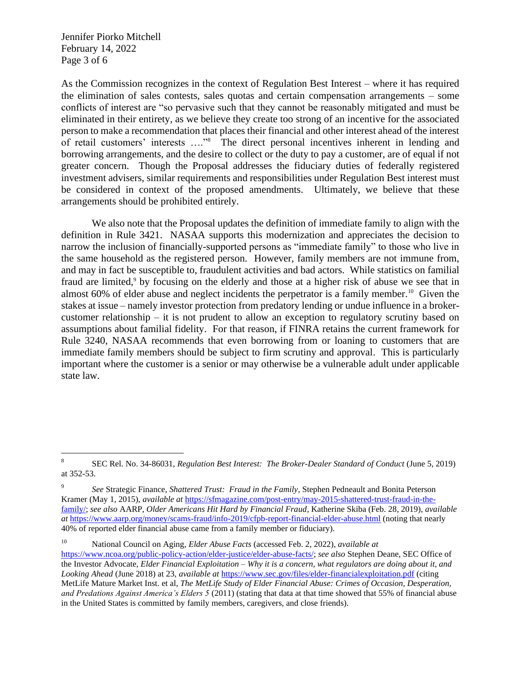Jennifer Piorko Mitchell February 14, 2022 Page 3 of 6

As the Commission recognizes in the context of Regulation Best Interest – where it has required the elimination of sales contests, sales quotas and certain compensation arrangements – some conflicts of interest are "so pervasive such that they cannot be reasonably mitigated and must be eliminated in their entirety, as we believe they create too strong of an incentive for the associated person to make a recommendation that places their financial and other interest ahead of the interest of retail customers' interests …."<sup>8</sup> The direct personal incentives inherent in lending and borrowing arrangements, and the desire to collect or the duty to pay a customer, are of equal if not greater concern. Though the Proposal addresses the fiduciary duties of federally registered investment advisers, similar requirements and responsibilities under Regulation Best interest must be considered in context of the proposed amendments. Ultimately, we believe that these arrangements should be prohibited entirely.

We also note that the Proposal updates the definition of immediate family to align with the definition in Rule 3421. NASAA supports this modernization and appreciates the decision to narrow the inclusion of financially-supported persons as "immediate family" to those who live in the same household as the registered person. However, family members are not immune from, and may in fact be susceptible to, fraudulent activities and bad actors. While statistics on familial fraud are limited,<sup>9</sup> by focusing on the elderly and those at a higher risk of abuse we see that in almost 60% of elder abuse and neglect incidents the perpetrator is a family member.<sup>10</sup> Given the stakes at issue – namely investor protection from predatory lending or undue influence in a brokercustomer relationship – it is not prudent to allow an exception to regulatory scrutiny based on assumptions about familial fidelity. For that reason, if FINRA retains the current framework for Rule 3240, NASAA recommends that even borrowing from or loaning to customers that are immediate family members should be subject to firm scrutiny and approval. This is particularly important where the customer is a senior or may otherwise be a vulnerable adult under applicable state law.

<sup>8</sup> SEC Rel. No. 34-86031, *Regulation Best Interest: The Broker-Dealer Standard of Conduct* (June 5, 2019) at 352-53.

<sup>9</sup> *See* Strategic Finance, *Shattered Trust: Fraud in the Family*, Stephen Pedneault and Bonita Peterson Kramer (May 1, 2015), *available at* [https://sfmagazine.com/post-entry/may-2015-shattered-trust-fraud-in-the](https://sfmagazine.com/post-entry/may-2015-shattered-trust-fraud-in-the-family/)[family/;](https://sfmagazine.com/post-entry/may-2015-shattered-trust-fraud-in-the-family/) *see also* AARP, *Older Americans Hit Hard by Financial Fraud*, Katherine Skiba (Feb. 28, 2019), *available at* <https://www.aarp.org/money/scams-fraud/info-2019/cfpb-report-financial-elder-abuse.html> (noting that nearly 40% of reported elder financial abuse came from a family member or fiduciary).

<sup>10</sup> National Council on Aging, *Elder Abuse Facts* (accessed Feb. 2, 2022), *available at* [https://www.ncoa.org/public-policy-action/elder-justice/elder-abuse-facts/;](https://www.ncoa.org/public-policy-action/elder-justice/elder-abuse-facts/) *see also* Stephen Deane, SEC Office of the Investor Advocate, *Elder Financial Exploitation – Why it is a concern, what regulators are doing about it, and Looking Ahead* (June 2018) at 23, *available at* <https://www.sec.gov/files/elder-financialexploitation.pdf> (citing MetLife Mature Market Inst. et al, *The MetLife Study of Elder Financial Abuse: Crimes of Occasion, Desperation, and Predations Against America's Elders 5* (2011) (stating that data at that time showed that 55% of financial abuse in the United States is committed by family members, caregivers, and close friends).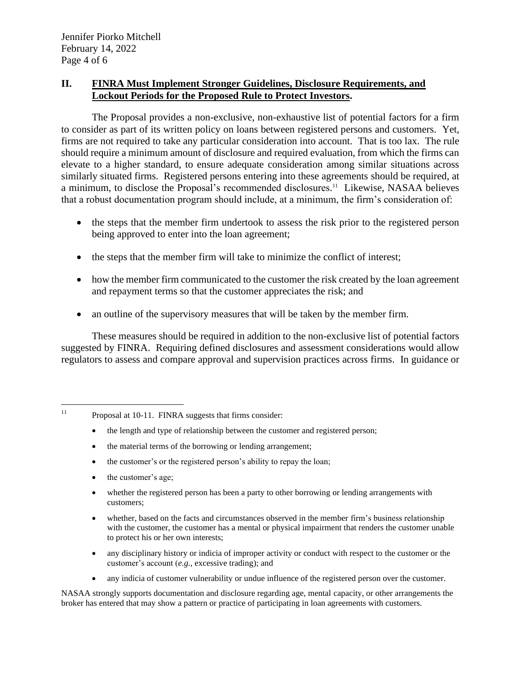## **II. FINRA Must Implement Stronger Guidelines, Disclosure Requirements, and Lockout Periods for the Proposed Rule to Protect Investors.**

The Proposal provides a non-exclusive, non-exhaustive list of potential factors for a firm to consider as part of its written policy on loans between registered persons and customers. Yet, firms are not required to take any particular consideration into account. That is too lax. The rule should require a minimum amount of disclosure and required evaluation, from which the firms can elevate to a higher standard, to ensure adequate consideration among similar situations across similarly situated firms. Registered persons entering into these agreements should be required, at a minimum, to disclose the Proposal's recommended disclosures. <sup>11</sup> Likewise, NASAA believes that a robust documentation program should include, at a minimum, the firm's consideration of:

- the steps that the member firm undertook to assess the risk prior to the registered person being approved to enter into the loan agreement;
- the steps that the member firm will take to minimize the conflict of interest;
- how the member firm communicated to the customer the risk created by the loan agreement and repayment terms so that the customer appreciates the risk; and
- an outline of the supervisory measures that will be taken by the member firm.

These measures should be required in addition to the non-exclusive list of potential factors suggested by FINRA. Requiring defined disclosures and assessment considerations would allow regulators to assess and compare approval and supervision practices across firms. In guidance or

- the length and type of relationship between the customer and registered person;
- the material terms of the borrowing or lending arrangement;
- the customer's or the registered person's ability to repay the loan;
- the customer's age;
- whether the registered person has been a party to other borrowing or lending arrangements with customers;
- whether, based on the facts and circumstances observed in the member firm's business relationship with the customer, the customer has a mental or physical impairment that renders the customer unable to protect his or her own interests;
- any disciplinary history or indicia of improper activity or conduct with respect to the customer or the customer's account (*e.g.*, excessive trading); and
- any indicia of customer vulnerability or undue influence of the registered person over the customer.

NASAA strongly supports documentation and disclosure regarding age, mental capacity, or other arrangements the broker has entered that may show a pattern or practice of participating in loan agreements with customers.

<sup>&</sup>lt;sup>11</sup> Proposal at 10-11. FINRA suggests that firms consider: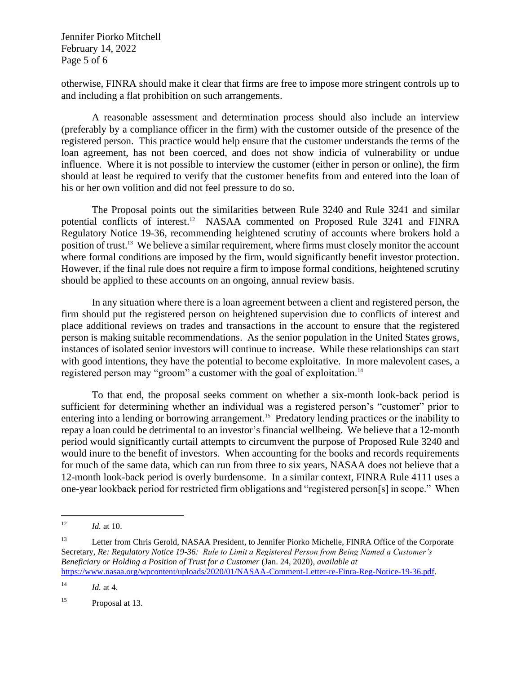Jennifer Piorko Mitchell February 14, 2022 Page 5 of 6

otherwise, FINRA should make it clear that firms are free to impose more stringent controls up to and including a flat prohibition on such arrangements.

A reasonable assessment and determination process should also include an interview (preferably by a compliance officer in the firm) with the customer outside of the presence of the registered person. This practice would help ensure that the customer understands the terms of the loan agreement, has not been coerced, and does not show indicia of vulnerability or undue influence. Where it is not possible to interview the customer (either in person or online), the firm should at least be required to verify that the customer benefits from and entered into the loan of his or her own volition and did not feel pressure to do so.

The Proposal points out the similarities between Rule 3240 and Rule 3241 and similar potential conflicts of interest. <sup>12</sup> NASAA commented on Proposed Rule 3241 and FINRA Regulatory Notice 19-36, recommending heightened scrutiny of accounts where brokers hold a position of trust.<sup>13</sup> We believe a similar requirement, where firms must closely monitor the account where formal conditions are imposed by the firm, would significantly benefit investor protection. However, if the final rule does not require a firm to impose formal conditions, heightened scrutiny should be applied to these accounts on an ongoing, annual review basis.

In any situation where there is a loan agreement between a client and registered person, the firm should put the registered person on heightened supervision due to conflicts of interest and place additional reviews on trades and transactions in the account to ensure that the registered person is making suitable recommendations. As the senior population in the United States grows, instances of isolated senior investors will continue to increase. While these relationships can start with good intentions, they have the potential to become exploitative. In more malevolent cases, a registered person may "groom" a customer with the goal of exploitation.<sup>14</sup>

To that end, the proposal seeks comment on whether a six-month look-back period is sufficient for determining whether an individual was a registered person's "customer" prior to entering into a lending or borrowing arrangement.<sup>15</sup> Predatory lending practices or the inability to repay a loan could be detrimental to an investor's financial wellbeing. We believe that a 12-month period would significantly curtail attempts to circumvent the purpose of Proposed Rule 3240 and would inure to the benefit of investors. When accounting for the books and records requirements for much of the same data, which can run from three to six years, NASAA does not believe that a 12-month look-back period is overly burdensome. In a similar context, FINRA Rule 4111 uses a one-year lookback period for restricted firm obligations and "registered person[s] in scope." When

<sup>12</sup> *Id.* at 10.

<sup>&</sup>lt;sup>13</sup> Letter from Chris Gerold, NASAA President, to Jennifer Piorko Michelle, FINRA Office of the Corporate Secretary, *Re: Regulatory Notice 19-36: Rule to Limit a Registered Person from Being Named a Customer's Beneficiary or Holding a Position of Trust for a Customer* (Jan. 24, 2020), *available at* [https://www.nasaa.org/wpcontent/uploads/2020/01/NASAA-Comment-Letter-re-Finra-Reg-Notice-19-36.pdf.](https://www.nasaa.org/wpcontent/uploads/2020/01/NASAA-Comment-Letter-re-Finra-Reg-Notice-19-36.pdf)

<sup>14</sup> *Id.* at 4.

<sup>&</sup>lt;sup>15</sup> Proposal at 13.